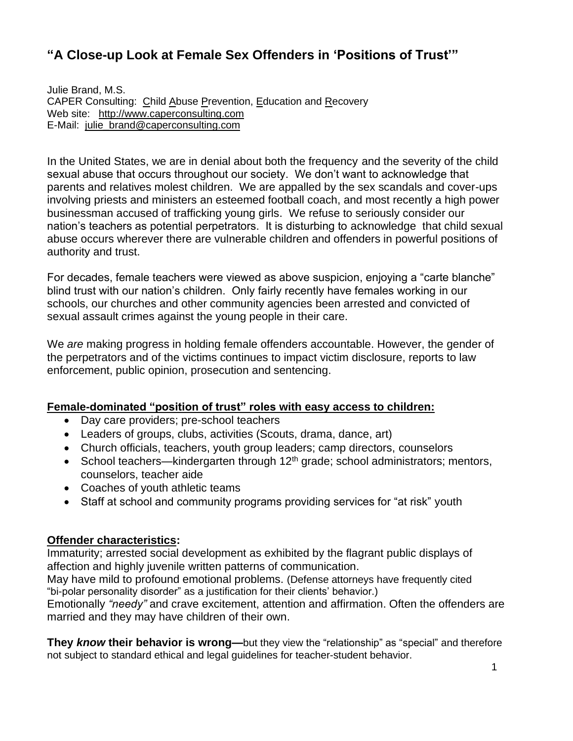# **"A Close-up Look at Female Sex Offenders in 'Positions of Trust'"**

Julie Brand, M.S. CAPER Consulting: Child Abuse Prevention, Education and Recovery Web site: [http://www.caperconsulting.com](http://www.caperconsulting.com/) E-Mail: [julie\\_brand@caperconsulting.com](mailto:julie_brand@caperconsulting.com)

In the United States, we are in denial about both the frequency and the severity of the child sexual abuse that occurs throughout our society. We don't want to acknowledge that parents and relatives molest children. We are appalled by the sex scandals and cover-ups involving priests and ministers an esteemed football coach, and most recently a high power businessman accused of trafficking young girls. We refuse to seriously consider our nation's teachers as potential perpetrators. It is disturbing to acknowledge that child sexual abuse occurs wherever there are vulnerable children and offenders in powerful positions of authority and trust.

For decades, female teachers were viewed as above suspicion, enjoying a "carte blanche" blind trust with our nation's children. Only fairly recently have females working in our schools, our churches and other community agencies been arrested and convicted of sexual assault crimes against the young people in their care.

We *are* making progress in holding female offenders accountable. However, the gender of the perpetrators and of the victims continues to impact victim disclosure, reports to law enforcement, public opinion, prosecution and sentencing.

#### **Female-dominated "position of trust" roles with easy access to children:**

- Day care providers; pre-school teachers
- Leaders of groups, clubs, activities (Scouts, drama, dance, art)
- Church officials, teachers, youth group leaders; camp directors, counselors
- School teachers—kindergarten through  $12<sup>th</sup>$  grade; school administrators; mentors, counselors, teacher aide
- Coaches of youth athletic teams
- Staff at school and community programs providing services for "at risk" youth

#### **Offender characteristics:**

Immaturity; arrested social development as exhibited by the flagrant public displays of affection and highly juvenile written patterns of communication.

May have mild to profound emotional problems. (Defense attorneys have frequently cited "bi-polar personality disorder" as a justification for their clients' behavior.)

Emotionally *"needy"* and crave excitement, attention and affirmation. Often the offenders are married and they may have children of their own.

**They** *know* **their behavior is wrong—**but they view the "relationship" as "special" and therefore not subject to standard ethical and legal guidelines for teacher-student behavior.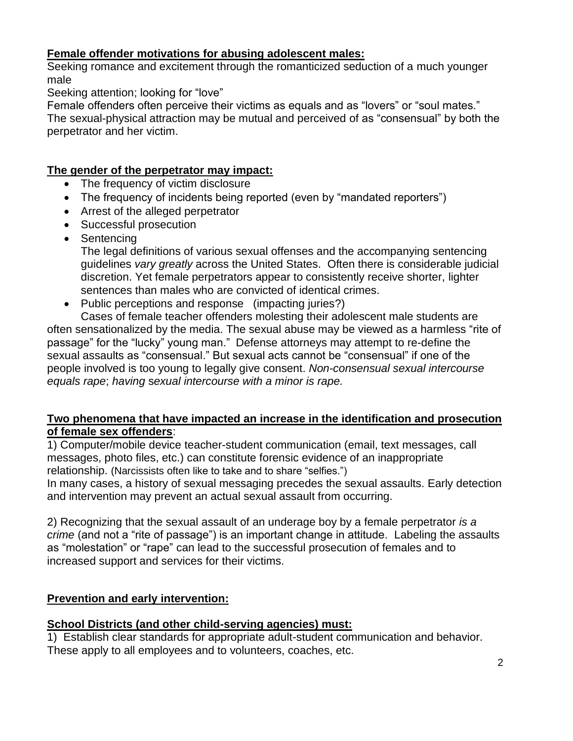### **Female offender motivations for abusing adolescent males:**

Seeking romance and excitement through the romanticized seduction of a much younger male

Seeking attention; looking for "love"

Female offenders often perceive their victims as equals and as "lovers" or "soul mates." The sexual-physical attraction may be mutual and perceived of as "consensual" by both the perpetrator and her victim.

#### **The gender of the perpetrator may impact:**

- The frequency of victim disclosure
- The frequency of incidents being reported (even by "mandated reporters")
- Arrest of the alleged perpetrator
- Successful prosecution
- Sentencing

The legal definitions of various sexual offenses and the accompanying sentencing guidelines *vary greatly* across the United States. Often there is considerable judicial discretion. Yet female perpetrators appear to consistently receive shorter, lighter sentences than males who are convicted of identical crimes.

• Public perceptions and response (impacting juries?)

Cases of female teacher offenders molesting their adolescent male students are often sensationalized by the media. The sexual abuse may be viewed as a harmless "rite of passage" for the "lucky" young man." Defense attorneys may attempt to re-define the sexual assaults as "consensual." But sexual acts cannot be "consensual" if one of the people involved is too young to legally give consent. *Non-consensual sexual intercourse equals rape*; *having* s*exual intercourse with a minor is rape.*

### **Two phenomena that have impacted an increase in the identification and prosecution of female sex offenders**:

1) Computer/mobile device teacher-student communication (email, text messages, call messages, photo files, etc.) can constitute forensic evidence of an inappropriate relationship. (Narcissists often like to take and to share "selfies.")

In many cases, a history of sexual messaging precedes the sexual assaults. Early detection and intervention may prevent an actual sexual assault from occurring.

2) Recognizing that the sexual assault of an underage boy by a female perpetrator *is a crime* (and not a "rite of passage") is an important change in attitude. Labeling the assaults as "molestation" or "rape" can lead to the successful prosecution of females and to increased support and services for their victims.

# **Prevention and early intervention:**

# **School Districts (and other child-serving agencies) must:**

1) Establish clear standards for appropriate adult-student communication and behavior. These apply to all employees and to volunteers, coaches, etc.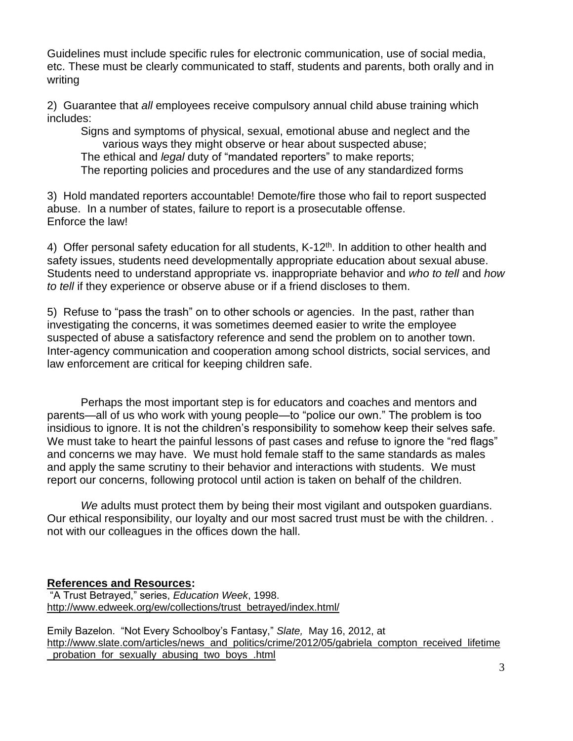Guidelines must include specific rules for electronic communication, use of social media, etc. These must be clearly communicated to staff, students and parents, both orally and in writing

2) Guarantee that *all* employees receive compulsory annual child abuse training which includes:

Signs and symptoms of physical, sexual, emotional abuse and neglect and the various ways they might observe or hear about suspected abuse; The ethical and *legal* duty of "mandated reporters" to make reports; The reporting policies and procedures and the use of any standardized forms

3) Hold mandated reporters accountable! Demote/fire those who fail to report suspected abuse. In a number of states, failure to report is a prosecutable offense. Enforce the law!

4) Offer personal safety education for all students, K-12<sup>th</sup>. In addition to other health and safety issues, students need developmentally appropriate education about sexual abuse. Students need to understand appropriate vs. inappropriate behavior and *who to tell* and *how to tell* if they experience or observe abuse or if a friend discloses to them.

5) Refuse to "pass the trash" on to other schools or agencies. In the past, rather than investigating the concerns, it was sometimes deemed easier to write the employee suspected of abuse a satisfactory reference and send the problem on to another town. Inter-agency communication and cooperation among school districts, social services, and law enforcement are critical for keeping children safe.

Perhaps the most important step is for educators and coaches and mentors and parents—all of us who work with young people—to "police our own." The problem is too insidious to ignore. It is not the children's responsibility to somehow keep their selves safe*.*  We must take to heart the painful lessons of past cases and refuse to ignore the "red flags" and concerns we may have. We must hold female staff to the same standards as males and apply the same scrutiny to their behavior and interactions with students. We must report our concerns, following protocol until action is taken on behalf of the children.

*We* adults must protect them by being their most vigilant and outspoken guardians. Our ethical responsibility, our loyalty and our most sacred trust must be with the children. . not with our colleagues in the offices down the hall.

### **References and Resources:**

"A Trust Betrayed," series, *Education Week*, 1998. [http://www.edweek.org/ew/collections/trust\\_betrayed/index.html/](http://www.edweek.org/ew/collections/trust_betrayed/index.html/)

Emily Bazelon. "Not Every Schoolboy's Fantasy," *Slate,* May 16, 2012, at [http://www.slate.com/articles/news\\_and\\_politics/crime/2012/05/gabriela\\_compton\\_received\\_lifetime](http://www.slate.com/articles/news_and_politics/crime/2012/05/gabriela_compton_received_lifetime_probation_for_sexually_abusing_two_boys_.html) [\\_probation\\_for\\_sexually\\_abusing\\_two\\_boys\\_.html](http://www.slate.com/articles/news_and_politics/crime/2012/05/gabriela_compton_received_lifetime_probation_for_sexually_abusing_two_boys_.html)